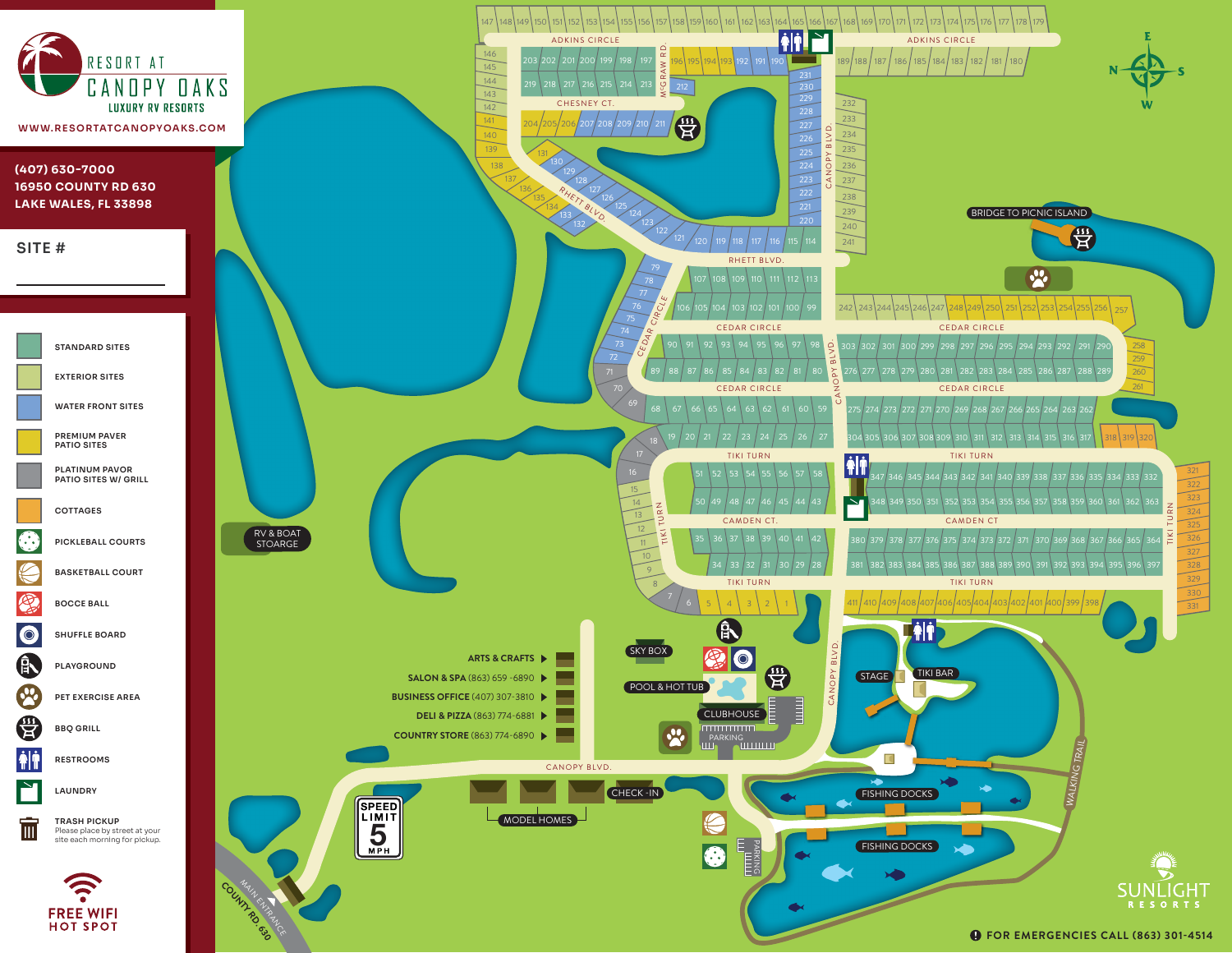